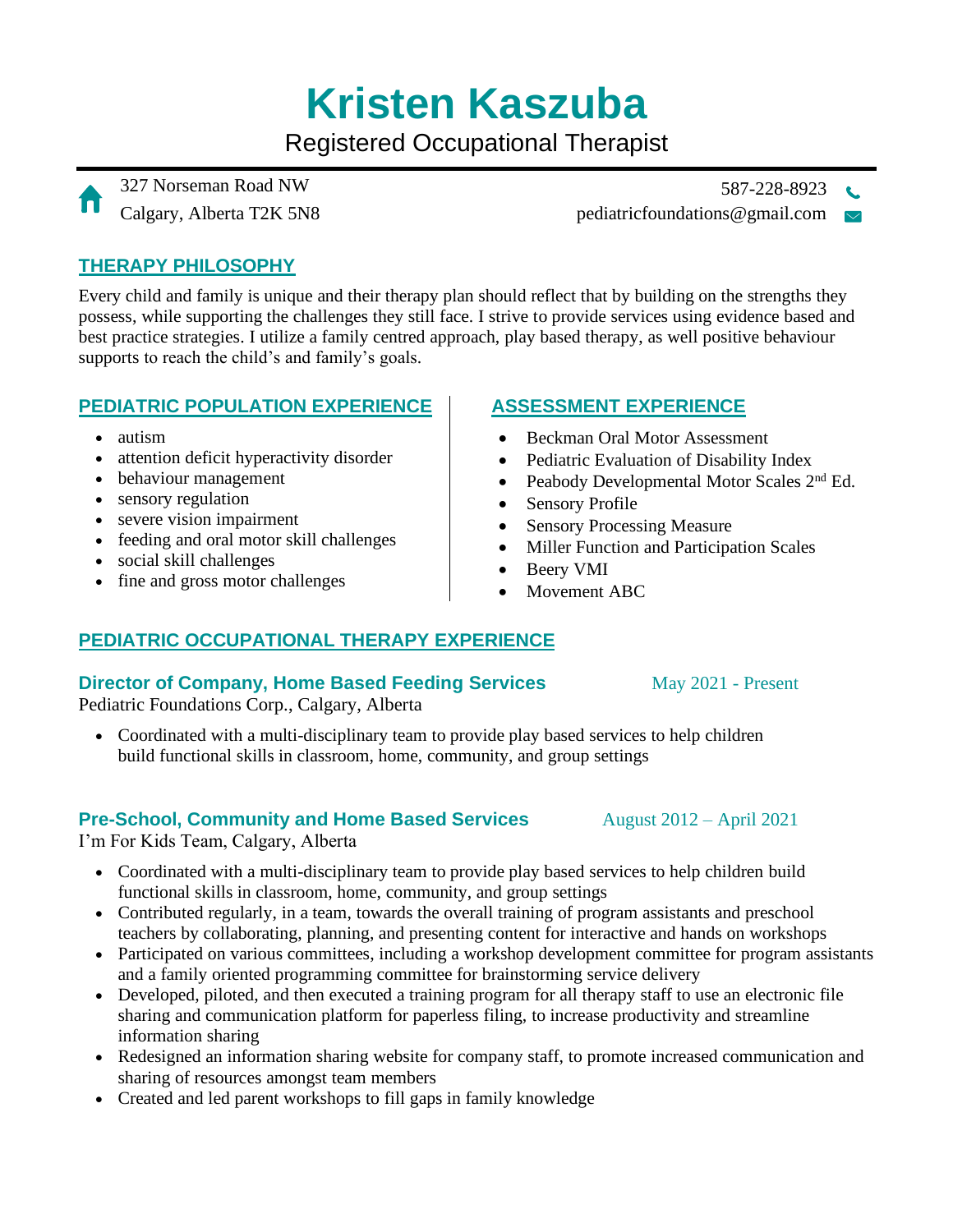# **Kristen Kaszuba**

Registered Occupational Therapist

327 Norseman Road NW 587-228-8923 Calgary, Alberta T2K 5N8 pediatricfoundations@gmail.com  $\sim$ 

## **THERAPY PHILOSOPHY**

Every child and family is unique and their therapy plan should reflect that by building on the strengths they possess, while supporting the challenges they still face. I strive to provide services using evidence based and best practice strategies. I utilize a family centred approach, play based therapy, as well positive behaviour supports to reach the child's and family's goals.

### **PEDIATRIC POPULATION EXPERIENCE**

- autism
- attention deficit hyperactivity disorder
- behaviour management
- sensory regulation
- severe vision impairment
- feeding and oral motor skill challenges
- social skill challenges
- fine and gross motor challenges

## **ASSESSMENT EXPERIENCE**

- Beckman Oral Motor Assessment
- Pediatric Evaluation of Disability Index
- Peabody Developmental Motor Scales 2<sup>nd</sup> Ed.
- Sensory Profile
- Sensory Processing Measure
- Miller Function and Participation Scales
- Beery VMI
- Movement ABC

## **PEDIATRIC OCCUPATIONAL THERAPY EXPERIENCE**

# **Director of Company, Home Based Feeding Services**

Pediatric Foundations Corp., Calgary, Alberta

• Coordinated with a multi-disciplinary team to provide play based services to help children build functional skills in classroom, home, community, and group settings

# **Pre-School, Community and Home Based Services**

I'm For Kids Team, Calgary, Alberta

- Coordinated with a multi-disciplinary team to provide play based services to help children build functional skills in classroom, home, community, and group settings
- Contributed regularly, in a team, towards the overall training of program assistants and preschool teachers by collaborating, planning, and presenting content for interactive and hands on workshops
- Participated on various committees, including a workshop development committee for program assistants and a family oriented programming committee for brainstorming service delivery
- Developed, piloted, and then executed a training program for all therapy staff to use an electronic file sharing and communication platform for paperless filing, to increase productivity and streamline information sharing
- Redesigned an information sharing website for company staff, to promote increased communication and sharing of resources amongst team members
- Created and led parent workshops to fill gaps in family knowledge

May 2021 - Present

August 2012 – April 2021